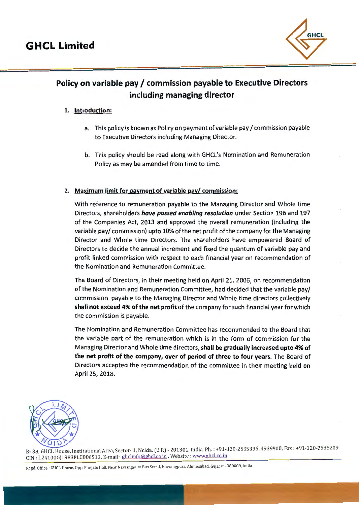

# Policy on variable pay/ commission payable to Executive Directors including managing director

## 1. Introduction:

- a. This policy is known as Policy on payment of variable pay / commission payable to Executive Directors including Managing Director.
- b. This policy should be read along with GHCL's Nomination and Remuneration Policy as may be amended from time to time.

## 2. Maximum limit for payment of variable pay/ commission:

With reference to remuneration payable to the Managing Director and Whole time Directors, shareholders *have passed enabling resolution* under Section 196 and 197 of the Companies Act, 2013 and approved the overall remuneration (including the variable pay/ commission) upto 10% of the net profit of the company for the Managing Director and Whole time Directors. The shareholders have empowered Board of Directors to decide the annual increment and fixed the quantum of variable pay and profit linked commission with respect to each financial year on recommendation of the Nomination and Remuneration Committee.

The Board of Directors, in their meeting held on April 21, 2006, on recommendation of the Nomination and Remuneration Committee, had decided that the variable pay/ commission payable to the Managing Director and Whole time directors collectively shall not exceed 4% of the net profit of the company for such financial year for which the commission is payable.

The Nomination and Remuneration Committee has recommended to the Board that the variable part of the remuneration which is in the form of commission for the Managing Director and Whole time directors, shall be gradually increased upto 4% of the net profit of the company, over of period of three to four years. The Board of Directors accepted the recommendation of the committee in their meeting held on April 25, 2018.



B- 38 GHCL House, Institutional Area, Sector- 1, Noida, (U.P.) - 201301, India . Ph. : +91-120-2535335, 4939900, Fax: +91-120-2535209 CIN : L24100GJ1983PLC006513, E-mail : ghclinfo@ghcl.co.in, Website: www.ghcl.co.in

Regd. Office: GHCL House, Opp. Punjabi Hall, Near Navrangpura Bus Stand, Navrangpura, Ahmedabad, Gujarat - 380009, India